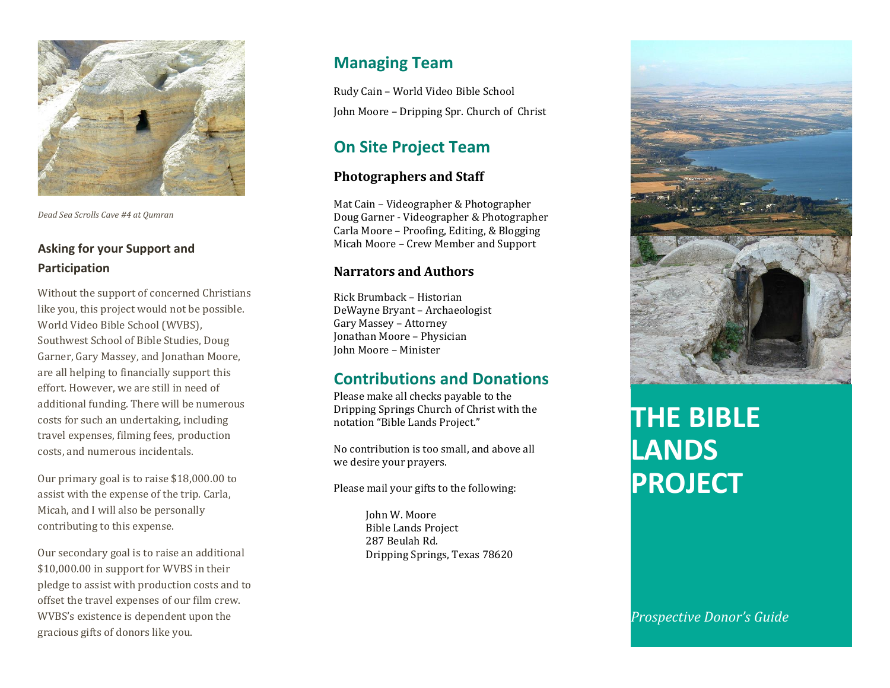

*Dead Sea Scrolls Cave #4 at Qumran* 

## **Asking for your Support and Participation**

Without the support of concerned Christians like you, this project would not be possible. World Video Bible School (WVBS), Southwest School of Bible Studies, Doug Garner, Gary Massey, and Jonathan Moore, are all helping to financially support this effort. However, we are still in need of additional funding. There will be numerous costs for such an undertaking, including travel expenses, filming fees, production costs, and numerous incidentals.

Our primary goal is to raise \$18,000.00 to assist with the expense of the trip. Carla, Micah, and I will also be personally contributing to this expense.

Our secondary goal is to raise an additional \$10,000.00 in support for WVBS in their pledge to assist with production costs and to offset the travel expenses of our film crew. WVBS's existence is dependent upon the gracious gifts of donors like you.

# **Managing Team**

Rudy Cain – World Video Bible School John Moore – Dripping Spr. Church of Christ

# **On Site Project Team**

## **Photographers and Staff**

Mat Cain – Videographer & Photographer Doug Garner - Videographer & Photographer Carla Moore – Proofing, Editing, & Blogging Micah Moore – Crew Member and Support

## **Narrators and Authors**

Rick Brumback – Historian DeWayne Bryant – Archaeologist Gary Massey – Attorney Jonathan Moore – Physician John Moore – Minister

# **Contributions and Donations**

Please make all checks payable to the Dripping Springs Church of Christ with the notation "Bible Lands Project."

No contribution is too small, and above all we desire your prayers.

Please mail your gifts to the following:

 John W. Moore Bible Lands Project 287 Beulah Rd. Dripping Springs, Texas 78620



# **THE BIBLE LANDS PROJECT**

*Prospective Donor's Guide*